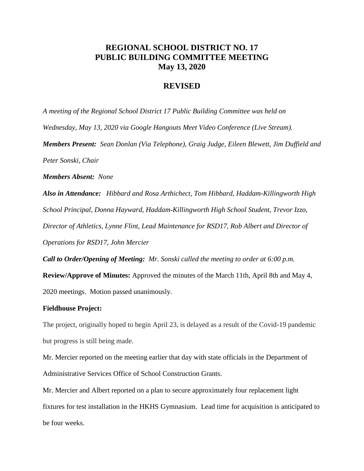## **REGIONAL SCHOOL DISTRICT NO. 17 PUBLIC BUILDING COMMITTEE MEETING May 13, 2020**

## **REVISED**

*A meeting of the Regional School District 17 Public Building Committee was held on Wednesday, May 13, 2020 via Google Hangouts Meet Video Conference (Live Stream). Members Present: Sean Donlan (Via Telephone), Graig Judge, Eileen Blewett, Jim Duffield and Peter Sonski, Chair*

*Members Absent: None*

*Also in Attendance: Hibbard and Rosa Arthichect, Tom Hibbard, Haddam-Killingworth High School Principal, Donna Hayward, Haddam-Killingworth High School Student, Trevor Izzo, Director of Athletics, Lynne Flint, Lead Maintenance for RSD17, Rob Albert and Director of Operations for RSD17, John Mercier*

*Call to Order/Opening of Meeting: Mr. Sonski called the meeting to order at 6:00 p.m.*  **Review/Approve of Minutes:** Approved the minutes of the March 11th, April 8th and May 4, 2020 meetings. Motion passed unanimously.

## **Fieldhouse Project:**

The project, originally hoped to begin April 23, is delayed as a result of the Covid-19 pandemic but progress is still being made.

Mr. Mercier reported on the meeting earlier that day with state officials in the Department of Administrative Services Office of School Construction Grants.

Mr. Mercier and Albert reported on a plan to secure approximately four replacement light fixtures for test installation in the HKHS Gymnasium. Lead time for acquisition is anticipated to be four weeks.